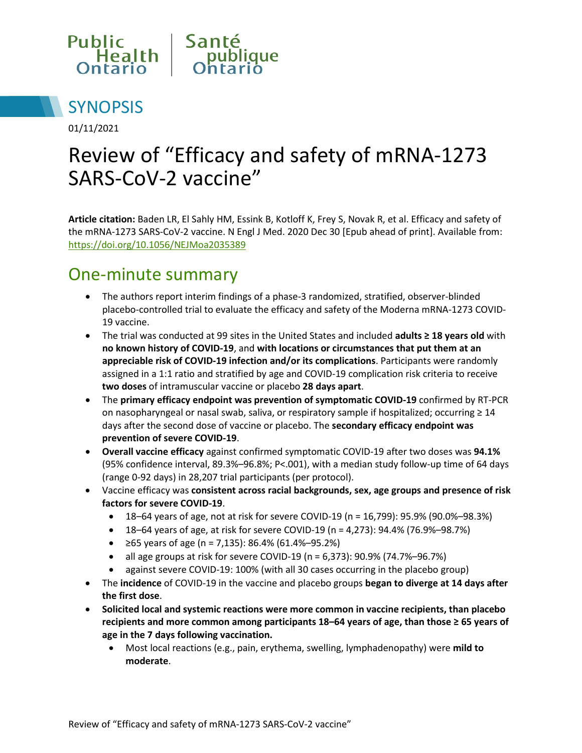



01/11/2021

# Review of "Efficacy and safety of mRNA-1273 SARS-CoV-2 vaccine"

**Article citation:** Baden LR, El Sahly HM, Essink B, Kotloff K, Frey S, Novak R, et al. Efficacy and safety of the mRNA-1273 SARS-CoV-2 vaccine. N Engl J Med. 2020 Dec 30 [Epub ahead of print]. Available from: <https://doi.org/10.1056/NEJMoa2035389>

#### One-minute summary

- The authors report interim findings of a phase-3 randomized, stratified, observer-blinded placebo-controlled trial to evaluate the efficacy and safety of the Moderna mRNA-1273 COVID-19 vaccine.
- The trial was conducted at 99 sites in the United States and included **adults ≥ 18 years old** with **no known history of COVID-19**, and **with locations or circumstances that put them at an appreciable risk of COVID-19 infection and/or its complications**. Participants were randomly assigned in a 1:1 ratio and stratified by age and COVID-19 complication risk criteria to receive **two doses** of intramuscular vaccine or placebo **28 days apart**.
- The **primary efficacy endpoint was prevention of symptomatic COVID-19** confirmed by RT-PCR on nasopharyngeal or nasal swab, saliva, or respiratory sample if hospitalized; occurring ≥ 14 days after the second dose of vaccine or placebo. The **secondary efficacy endpoint was prevention of severe COVID-19**.
- **Overall vaccine efficacy** against confirmed symptomatic COVID-19 after two doses was **94.1%**  (95% confidence interval, 89.3%–96.8%; P<.001), with a median study follow-up time of 64 days (range 0-92 days) in 28,207 trial participants (per protocol).
- Vaccine efficacy was **consistent across racial backgrounds, sex, age groups and presence of risk factors for severe COVID-19**.
	- 18–64 years of age, not at risk for severe COVID-19 (n = 16,799): 95.9% (90.0%–98.3%)
	- 18–64 years of age, at risk for severe COVID-19 (n = 4,273): 94.4% (76.9%–98.7%)
	- $\geq$  65 years of age (n = 7,135): 86.4% (61.4%–95.2%)
	- all age groups at risk for severe COVID-19 ( $n = 6,373$ ): 90.9% (74.7%–96.7%)
	- against severe COVID-19: 100% (with all 30 cases occurring in the placebo group)
- The **incidence** of COVID-19 in the vaccine and placebo groups **began to diverge at 14 days after the first dose**.
- **Solicited local and systemic reactions were more common in vaccine recipients, than placebo recipients and more common among participants 18–64 years of age, than those ≥ 65 years of age in the 7 days following vaccination.**
	- Most local reactions (e.g., pain, erythema, swelling, lymphadenopathy) were **mild to moderate**.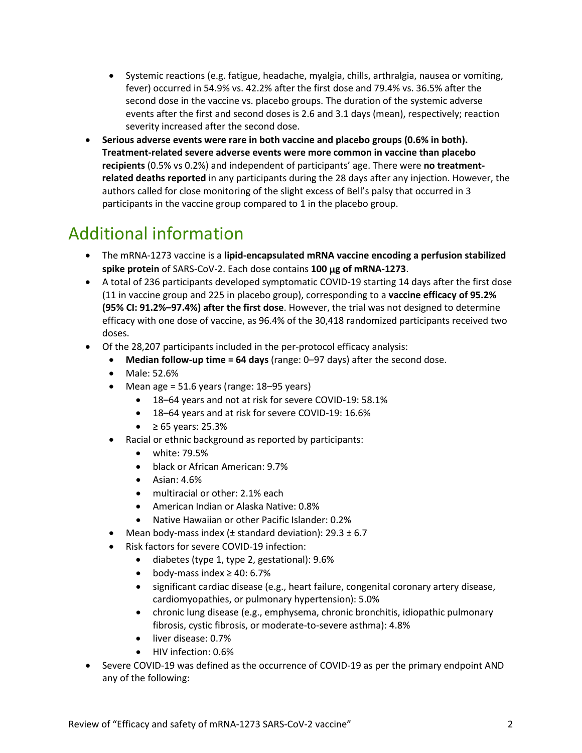- Systemic reactions (e.g. fatigue, headache, myalgia, chills, arthralgia, nausea or vomiting, fever) occurred in 54.9% vs. 42.2% after the first dose and 79.4% vs. 36.5% after the second dose in the vaccine vs. placebo groups. The duration of the systemic adverse events after the first and second doses is 2.6 and 3.1 days (mean), respectively; reaction severity increased after the second dose.
- **Serious adverse events were rare in both vaccine and placebo groups (0.6% in both). Treatment-related severe adverse events were more common in vaccine than placebo recipients** (0.5% vs 0.2%) and independent of participants' age. There were **no treatmentrelated deaths reported** in any participants during the 28 days after any injection. However, the authors called for close monitoring of the slight excess of Bell's palsy that occurred in 3 participants in the vaccine group compared to 1 in the placebo group.

### Additional information

- The mRNA-1273 vaccine is a **lipid-encapsulated mRNA vaccine encoding a perfusion stabilized spike protein** of SARS-CoV-2. Each dose contains **100** µ**g of mRNA-1273**.
- A total of 236 participants developed symptomatic COVID-19 starting 14 days after the first dose (11 in vaccine group and 225 in placebo group), corresponding to a **vaccine efficacy of 95.2% (95% CI: 91.2%–97.4%) after the first dose**. However, the trial was not designed to determine efficacy with one dose of vaccine, as 96.4% of the 30,418 randomized participants received two doses.
- Of the 28,207 participants included in the per-protocol efficacy analysis:
	- **Median follow-up time = 64 days** (range: 0–97 days) after the second dose.
	- Male: 52.6%
	- Mean age = 51.6 years (range: 18–95 years)
		- 18–64 years and not at risk for severe COVID-19: 58.1%
		- 18–64 years and at risk for severe COVID-19: 16.6%
		- $\geq 65$  years: 25.3%
	- Racial or ethnic background as reported by participants:
		- white: 79.5%
		- black or African American: 9.7%
		- Asian: 4.6%
		- multiracial or other: 2.1% each
		- American Indian or Alaska Native: 0.8%
		- Native Hawaiian or other Pacific Islander: 0.2%
		- Mean body-mass index ( $\pm$  standard deviation): 29.3  $\pm$  6.7
	- Risk factors for severe COVID-19 infection:
		- diabetes (type 1, type 2, gestational): 9.6%
		- body-mass index ≥ 40: 6.7%
		- significant cardiac disease (e.g., heart failure, congenital coronary artery disease, cardiomyopathies, or pulmonary hypertension): 5.0%
		- chronic lung disease (e.g., emphysema, chronic bronchitis, idiopathic pulmonary fibrosis, cystic fibrosis, or moderate-to-severe asthma): 4.8%
		- liver disease: 0.7%
		- HIV infection: 0.6%
- Severe COVID-19 was defined as the occurrence of COVID-19 as per the primary endpoint AND any of the following: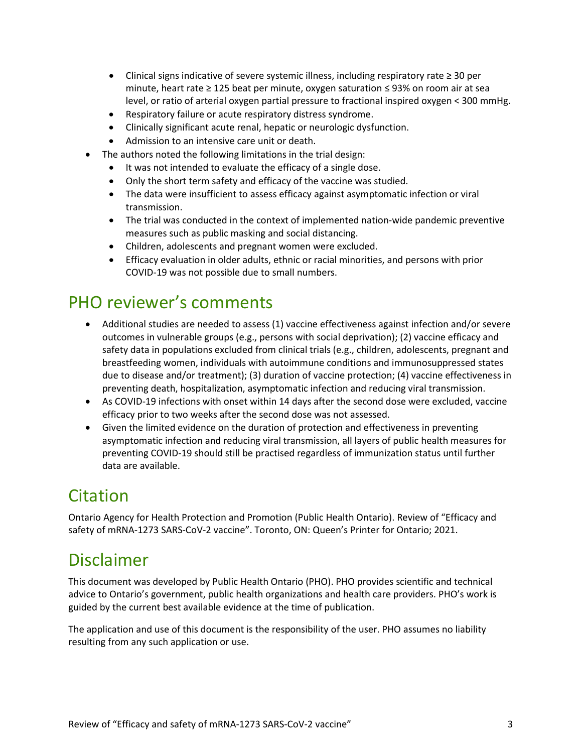- Clinical signs indicative of severe systemic illness, including respiratory rate ≥ 30 per minute, heart rate ≥ 125 beat per minute, oxygen saturation ≤ 93% on room air at sea level, or ratio of arterial oxygen partial pressure to fractional inspired oxygen < 300 mmHg.
- Respiratory failure or acute respiratory distress syndrome.
- Clinically significant acute renal, hepatic or neurologic dysfunction.
- Admission to an intensive care unit or death.
- The authors noted the following limitations in the trial design:
	- It was not intended to evaluate the efficacy of a single dose.
	- Only the short term safety and efficacy of the vaccine was studied.
	- The data were insufficient to assess efficacy against asymptomatic infection or viral transmission.
	- The trial was conducted in the context of implemented nation-wide pandemic preventive measures such as public masking and social distancing.
	- Children, adolescents and pregnant women were excluded.
	- Efficacy evaluation in older adults, ethnic or racial minorities, and persons with prior COVID-19 was not possible due to small numbers.

#### PHO reviewer's comments

- Additional studies are needed to assess (1) vaccine effectiveness against infection and/or severe outcomes in vulnerable groups (e.g., persons with social deprivation); (2) vaccine efficacy and safety data in populations excluded from clinical trials (e.g., children, adolescents, pregnant and breastfeeding women, individuals with autoimmune conditions and immunosuppressed states due to disease and/or treatment); (3) duration of vaccine protection; (4) vaccine effectiveness in preventing death, hospitalization, asymptomatic infection and reducing viral transmission.
- As COVID-19 infections with onset within 14 days after the second dose were excluded, vaccine efficacy prior to two weeks after the second dose was not assessed.
- Given the limited evidence on the duration of protection and effectiveness in preventing asymptomatic infection and reducing viral transmission, all layers of public health measures for preventing COVID-19 should still be practised regardless of immunization status until further data are available.

#### Citation

Ontario Agency for Health Protection and Promotion (Public Health Ontario). Review of "Efficacy and safety of mRNA-1273 SARS-CoV-2 vaccine". Toronto, ON: Queen's Printer for Ontario; 2021.

#### Disclaimer

This document was developed by Public Health Ontario (PHO). PHO provides scientific and technical advice to Ontario's government, public health organizations and health care providers. PHO's work is guided by the current best available evidence at the time of publication.

The application and use of this document is the responsibility of the user. PHO assumes no liability resulting from any such application or use.